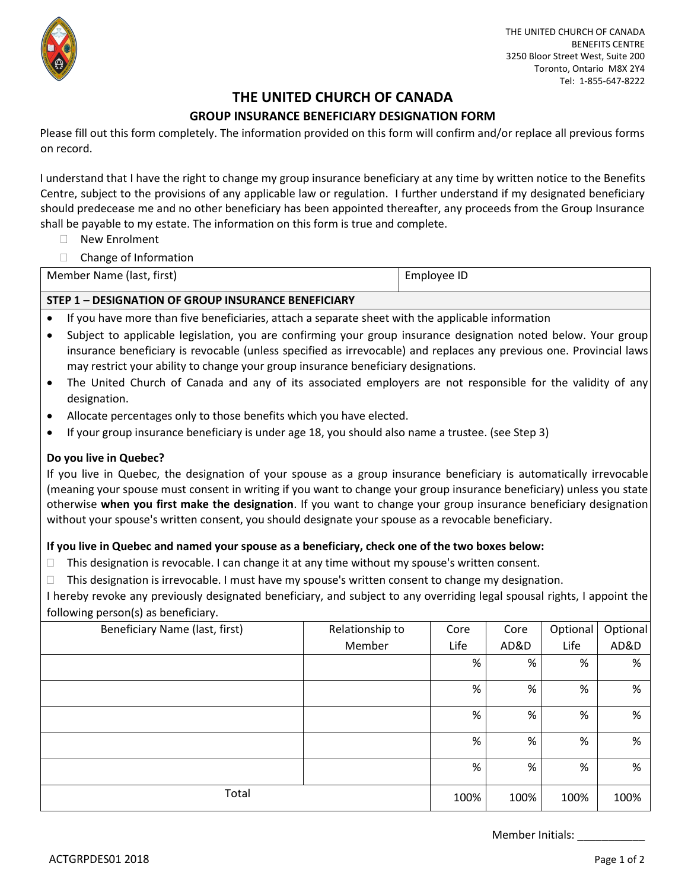

# **THE UNITED CHURCH OF CANADA**

## **GROUP INSURANCE BENEFICIARY DESIGNATION FORM**

Please fill out this form completely. The information provided on this form will confirm and/or replace all previous forms on record.

I understand that I have the right to change my group insurance beneficiary at any time by written notice to the Benefits Centre, subject to the provisions of any applicable law or regulation. I further understand if my designated beneficiary should predecease me and no other beneficiary has been appointed thereafter, any proceeds from the Group Insurance shall be payable to my estate. The information on this form is true and complete.

- □ New Enrolment
- □ Change of Information

| Member Name (last, first) | Employee ID |
|---------------------------|-------------|
|---------------------------|-------------|

### **STEP 1 – DESIGNATION OF GROUP INSURANCE BENEFICIARY**

- If you have more than five beneficiaries, attach a separate sheet with the applicable information
- Subject to applicable legislation, you are confirming your group insurance designation noted below. Your group insurance beneficiary is revocable (unless specified as irrevocable) and replaces any previous one. Provincial laws may restrict your ability to change your group insurance beneficiary designations.
- The United Church of Canada and any of its associated employers are not responsible for the validity of any designation.
- Allocate percentages only to those benefits which you have elected.
- If your group insurance beneficiary is under age 18, you should also name a trustee. (see Step 3)

#### **Do you live in Quebec?**

If you live in Quebec, the designation of your spouse as a group insurance beneficiary is automatically irrevocable (meaning your spouse must consent in writing if you want to change your group insurance beneficiary) unless you state otherwise **when you first make the designation**. If you want to change your group insurance beneficiary designation without your spouse's written consent, you should designate your spouse as a revocable beneficiary.

#### **If you live in Quebec and named your spouse as a beneficiary, check one of the two boxes below:**

- $\Box$  This designation is revocable. I can change it at any time without my spouse's written consent.
- $\Box$  This designation is irrevocable. I must have my spouse's written consent to change my designation.

I hereby revoke any previously designated beneficiary, and subject to any overriding legal spousal rights, I appoint the following person(s) as beneficiary.

| Beneficiary Name (last, first) | Relationship to | Core | Core | Optional | Optional |
|--------------------------------|-----------------|------|------|----------|----------|
|                                | Member          | Life | AD&D | Life     | AD&D     |
|                                |                 | %    | %    | %        | %        |
|                                |                 | %    | %    | %        | %        |
|                                |                 | %    | %    | %        | %        |
|                                |                 | %    | %    | %        | %        |
|                                |                 | %    | %    | %        | %        |
| Total                          |                 | 100% | 100% | 100%     | 100%     |

Member Initials: \_\_\_\_\_\_\_\_\_\_\_